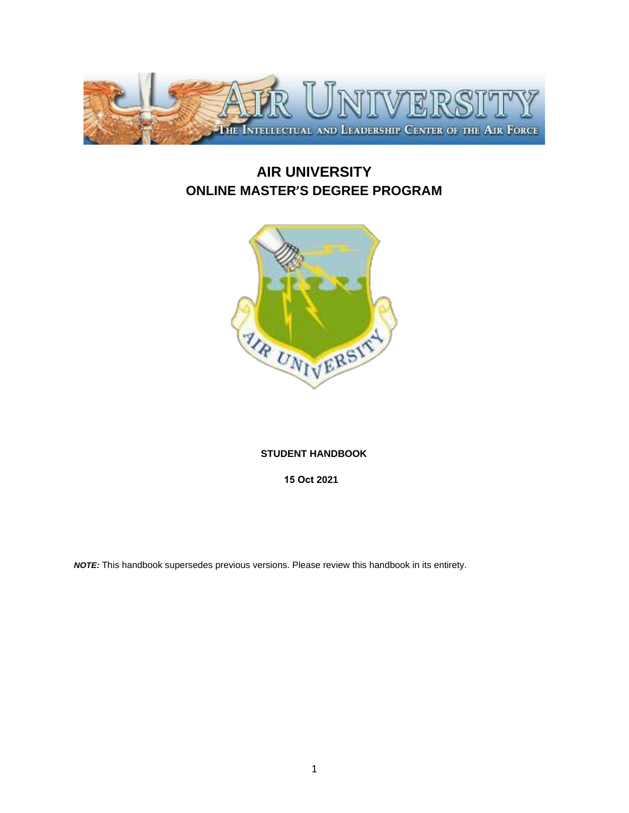

# **AIR UNIVERSITY ONLINE MASTER'S DEGREE PROGRAM**



# **STUDENT HANDBOOK**

**15 Oct 2021** 

*NOTE:* This handbook supersedes previous versions. Please review this handbook in its entirety.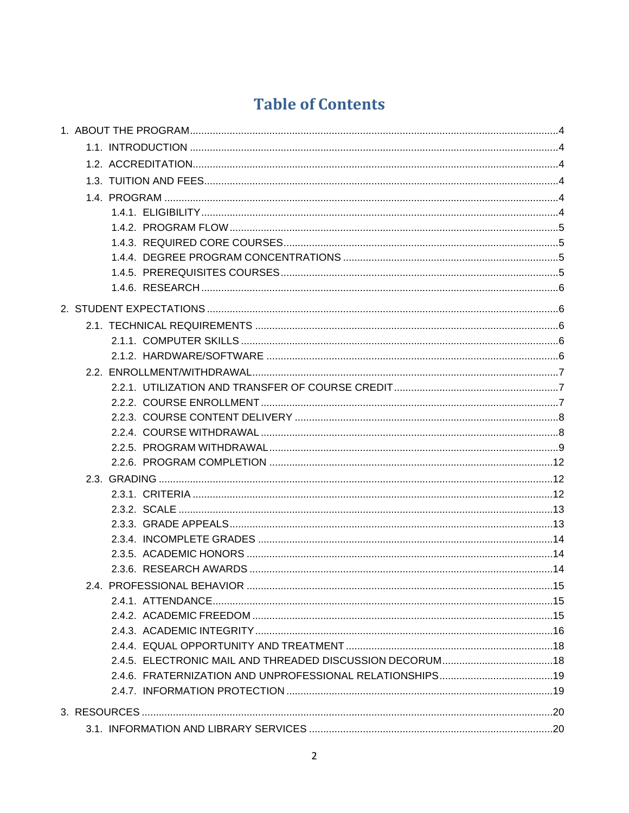# **Table of Contents**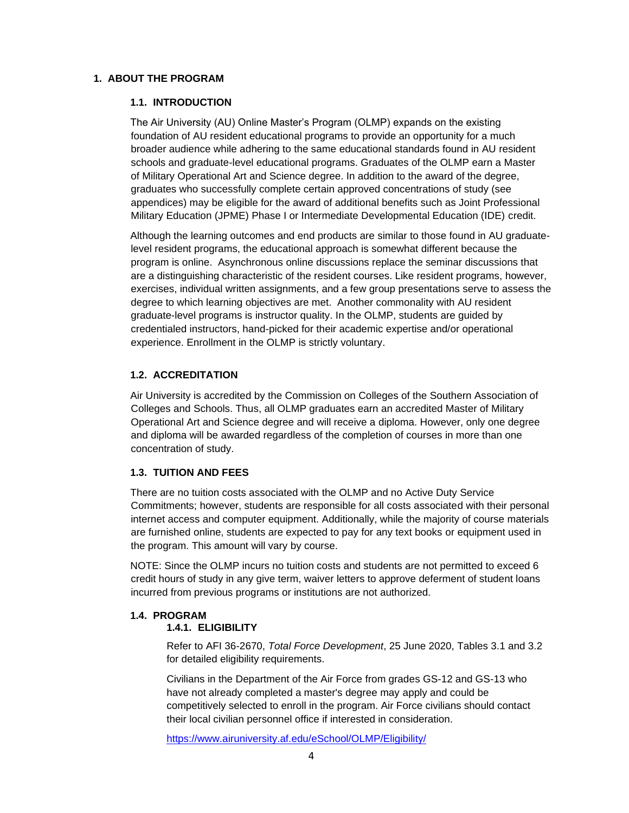#### <span id="page-3-1"></span><span id="page-3-0"></span>**1. ABOUT THE PROGRAM**

#### **1.1. INTRODUCTION**

The Air University (AU) Online Master's Program (OLMP) expands on the existing foundation of AU resident educational programs to provide an opportunity for a much broader audience while adhering to the same educational standards found in AU resident schools and graduate-level educational programs. Graduates of the OLMP earn a Master of Military Operational Art and Science degree. In addition to the award of the degree, graduates who successfully complete certain approved concentrations of study (see appendices) may be eligible for the award of additional benefits such as Joint Professional Military Education (JPME) Phase I or Intermediate Developmental Education (IDE) credit.

Although the learning outcomes and end products are similar to those found in AU graduatelevel resident programs, the educational approach is somewhat different because the program is online. Asynchronous online discussions replace the seminar discussions that are a distinguishing characteristic of the resident courses. Like resident programs, however, exercises, individual written assignments, and a few group presentations serve to assess the degree to which learning objectives are met. Another commonality with AU resident graduate-level programs is instructor quality. In the OLMP, students are guided by credentialed instructors, hand-picked for their academic expertise and/or operational experience. Enrollment in the OLMP is strictly voluntary.

#### <span id="page-3-2"></span>**1.2. ACCREDITATION**

Air University is accredited by the Commission on Colleges of the Southern Association of Colleges and Schools. Thus, all OLMP graduates earn an accredited Master of Military Operational Art and Science degree and will receive a diploma. However, only one degree and diploma will be awarded regardless of the completion of courses in more than one concentration of study.

#### <span id="page-3-3"></span>**1.3. TUITION AND FEES**

There are no tuition costs associated with the OLMP and no Active Duty Service Commitments; however, students are responsible for all costs associated with their personal internet access and computer equipment. Additionally, while the majority of course materials are furnished online, students are expected to pay for any text books or equipment used in the program. This amount will vary by course.

NOTE: Since the OLMP incurs no tuition costs and students are not permitted to exceed 6 credit hours of study in any give term, waiver letters to approve deferment of student loans incurred from previous programs or institutions are not authorized.

#### <span id="page-3-5"></span><span id="page-3-4"></span>**1.4. PROGRAM**

# **1.4.1. ELIGIBILITY**

Refer to AFI 36-2670, *Total Force Development*, 25 June 2020, Tables 3.1 and 3.2 for detailed eligibility requirements.

Civilians in the Department of the Air Force from grades GS-12 and GS-13 who have not already completed a master's degree may apply and could be competitively selected to enroll in the program. Air Force civilians should contact their local civilian personnel office if interested in consideration.

<https://www.airuniversity.af.edu/eSchool/OLMP/Eligibility/>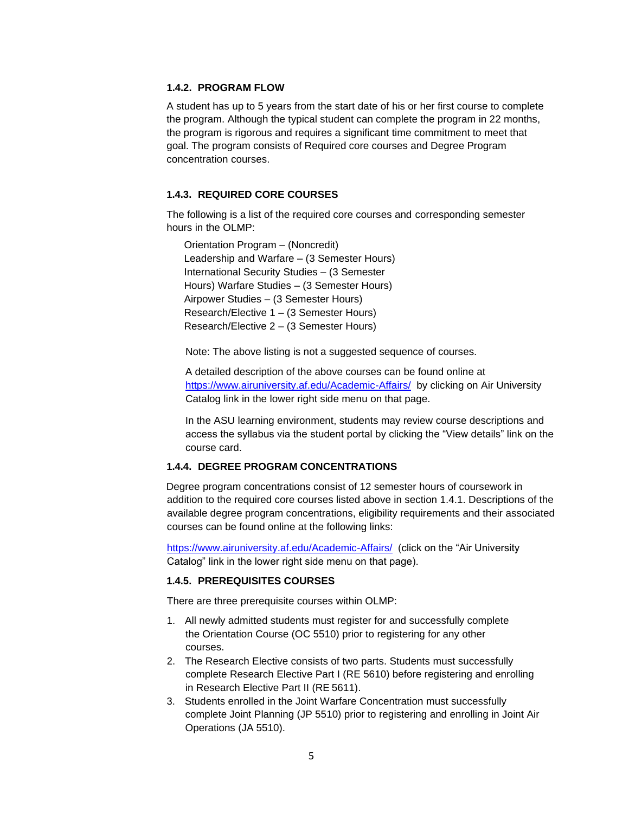## <span id="page-4-0"></span>**1.4.2. PROGRAM FLOW**

A student has up to 5 years from the start date of his or her first course to complete the program. Although the typical student can complete the program in 22 months, the program is rigorous and requires a significant time commitment to meet that goal. The program consists of Required core courses and Degree Program concentration courses.

# <span id="page-4-1"></span>**1.4.3. REQUIRED CORE COURSES**

The following is a list of the required core courses and corresponding semester hours in the OLMP:

Orientation Program – (Noncredit) Leadership and Warfare – (3 Semester Hours) International Security Studies – (3 Semester Hours) Warfare Studies – (3 Semester Hours) Airpower Studies – (3 Semester Hours) Research/Elective 1 – (3 Semester Hours) Research/Elective 2 – (3 Semester Hours)

Note: The above listing is not a suggested sequence of courses.

A detailed description of the above courses can be found online at <https://www.airuniversity.af.edu/Academic-Affairs/>by clicking on Air University Catalog link in the lower right side menu on that page.

In the ASU learning environment, students may review course descriptions and access the syllabus via the student portal by clicking the "View details" link on the course card.

#### <span id="page-4-2"></span>**1.4.4. DEGREE PROGRAM CONCENTRATIONS**

Degree program concentrations consist of 12 semester hours of coursework in addition to the required core courses listed above in section 1.4.1. Descriptions of the available degree program concentrations, eligibility requirements and their associated courses can be found online at the following links:

<https://www.airuniversity.af.edu/Academic-Affairs/>(click on the "Air University Catalog" link in the lower right side menu on that page).

#### <span id="page-4-3"></span>**1.4.5. PREREQUISITES COURSES**

There are three prerequisite courses within OLMP:

- 1. All newly admitted students must register for and successfully complete the Orientation Course (OC 5510) prior to registering for any other courses.
- 2. The Research Elective consists of two parts. Students must successfully complete Research Elective Part I (RE 5610) before registering and enrolling in Research Elective Part II (RE 5611).
- 3. Students enrolled in the Joint Warfare Concentration must successfully complete Joint Planning (JP 5510) prior to registering and enrolling in Joint Air Operations (JA 5510).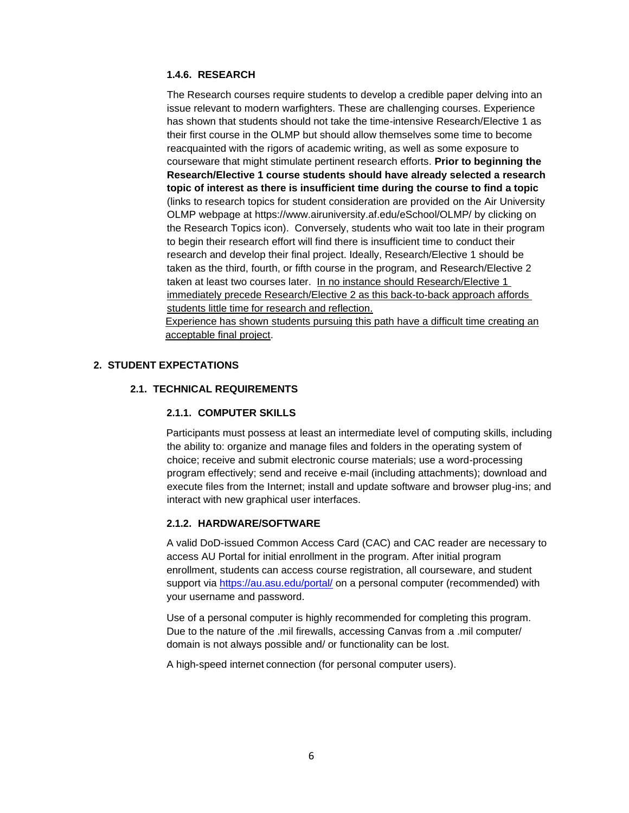# <span id="page-5-0"></span>**1.4.6. RESEARCH**

The Research courses require students to develop a credible paper delving into an issue relevant to modern warfighters. These are challenging courses. Experience has shown that students should not take the time-intensive Research/Elective 1 as their first course in the OLMP but should allow themselves some time to become reacquainted with the rigors of academic writing, as well as some exposure to courseware that might stimulate pertinent research efforts. **Prior to beginning the Research/Elective 1 course students should have already selected a research topic of interest as there is insufficient time during the course to find a topic**  (links to research topics for student consideration are provided on the Air University OLMP webpage at https://www.airuniversity.af.edu/eSchool/OLMP/ by clicking on the Research Topics icon).Conversely, students who wait too late in their program to begin their research effort will find there is insufficient time to conduct their research and develop their final project. Ideally, Research/Elective 1 should be taken as the third, fourth, or fifth course in the program, and Research/Elective 2 taken at least two courses later. In no instance should Research/Elective 1 immediately precede Research/Elective 2 as this back-to-back approach affords students little time for research and reflection.

Experience has shown students pursuing this path have a difficult time creating an acceptable final project.

# <span id="page-5-3"></span><span id="page-5-2"></span><span id="page-5-1"></span>**2. STUDENT EXPECTATIONS**

# **2.1. TECHNICAL REQUIREMENTS**

# **2.1.1. COMPUTER SKILLS**

Participants must possess at least an intermediate level of computing skills, including the ability to: organize and manage files and folders in the operating system of choice; receive and submit electronic course materials; use a word-processing program effectively; send and receive e-mail (including attachments); download and execute files from the Internet; install and update software and browser plug-ins; and interact with new graphical user interfaces.

#### <span id="page-5-4"></span>**2.1.2. HARDWARE/SOFTWARE**

A valid DoD-issued Common Access Card (CAC) and CAC reader are necessary to access AU Portal for initial enrollment in the program. After initial program enrollment, students can access course registration, all courseware, and student support via<https://au.asu.edu/portal/> on a personal computer (recommended) with your username and password.

Use of a personal computer is highly recommended for completing this program. Due to the nature of the .mil firewalls, accessing Canvas from a .mil computer/ domain is not always possible and/ or functionality can be lost.

A high-speed internet connection (for personal computer users).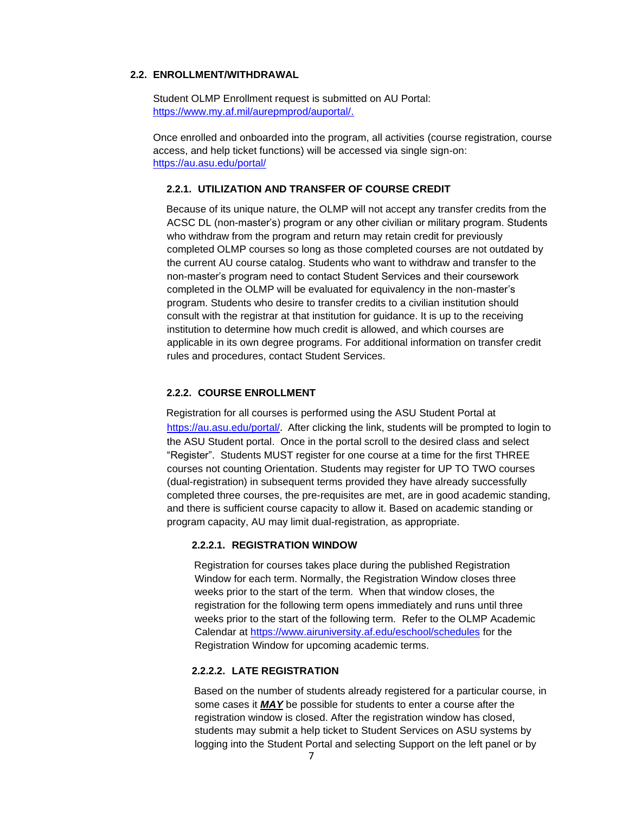#### <span id="page-6-0"></span>**2.2. ENROLLMENT/WITHDRAWAL**

Student OLMP Enrollment request is submitted on AU Portal: [https://www.my.af.mil/aurepmprod/auportal/.](https://www.my.af.mil/aurepmprod/auportal/)

Once enrolled and onboarded into the program, all activities (course registration, course access, and help ticket functions) will be accessed via single sign-on: <https://au.asu.edu/>portal/

#### <span id="page-6-1"></span>**2.2.1. UTILIZATION AND TRANSFER OF COURSE CREDIT**

Because of its unique nature, the OLMP will not accept any transfer credits from the ACSC DL (non-master's) program or any other civilian or military program. Students who withdraw from the program and return may retain credit for previously completed OLMP courses so long as those completed courses are not outdated by the current AU course catalog. Students who want to withdraw and transfer to the non-master's program need to contact Student Services and their coursework completed in the OLMP will be evaluated for equivalency in the non-master's program. Students who desire to transfer credits to a civilian institution should consult with the registrar at that institution for guidance. It is up to the receiving institution to determine how much credit is allowed, and which courses are applicable in its own degree programs. For additional information on transfer credit rules and procedures, contact Student Services.

#### <span id="page-6-2"></span>**2.2.2. COURSE ENROLLMENT**

Registration for all courses is performed using the ASU Student Portal at <https://au.asu.edu/portal/>[.](https://auportal.maxwell.af.mil/auportal/welcome.AirUniversity) After clicking the link, students will be prompted to login to the ASU Student portal. Once in the portal scroll to the desired class and select "Register". Students MUST register for one course at a time for the first THREE courses not counting Orientation. Students may register for UP TO TWO courses (dual-registration) in subsequent terms provided they have already successfully completed three courses, the pre-requisites are met, are in good academic standing, and there is sufficient course capacity to allow it. Based on academic standing or program capacity, AU may limit dual-registration, as appropriate.

#### **2.2.2.1. REGISTRATION WINDOW**

Registration for courses takes place during the published Registration Window for each term. Normally, the Registration Window closes three weeks prior to the start of the term. When that window closes, the registration for the following term opens immediately and runs until three weeks prior to the start of the following term. Refer to the OLMP Academic Calendar at [https://www.airuniversity.af.edu/eschool/schedules](https://www.airuniversity.af.edu/Portals/10/eSchool/documents/olmp/OLMP%20Calendar%202019-2022.pdf?ver=2019-08-13-111352-080) [fo](https://acsc.blackboard.com/webapps/portal/execute/tabs/tabAction?tabId=_618_1&tab_tab_group_id=_164_1)r the Registration Window for upcoming academic terms.

#### **2.2.2.2. LATE REGISTRATION**

Based on the number of students already registered for a particular course, in some cases it *MAY* be possible for students to enter a course after the registration window is closed. After the registration window has closed, students may submit a help ticket to Student Services on ASU systems by logging into the Student Portal and selecting Support on the left panel or by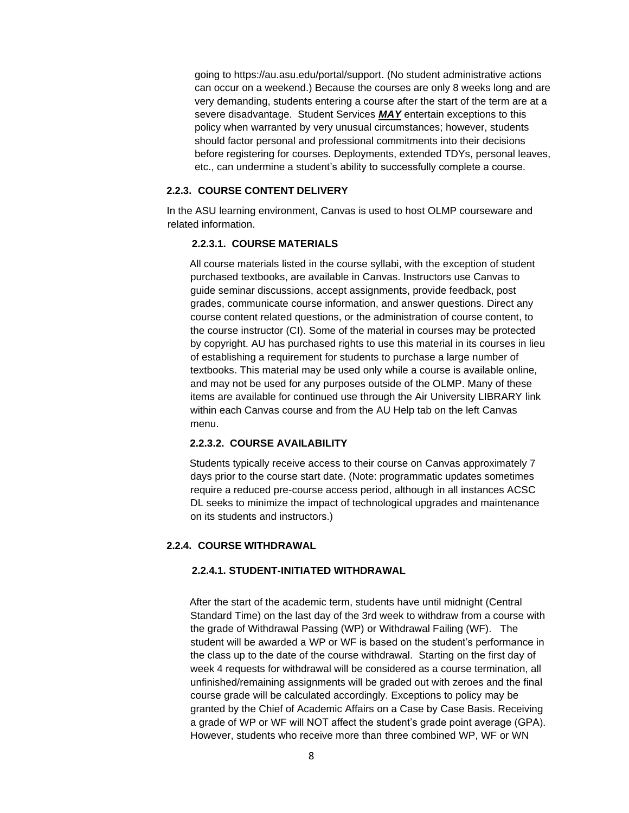going to https://au.asu.edu/portal/support. (No student administrative actions can occur on a weekend.) Because the courses are only 8 weeks long and are very demanding, students entering a course after the start of the term are at a severe disadvantage. Student Services *MAY* entertain exceptions to this policy when warranted by very unusual circumstances; however, students should factor personal and professional commitments into their decisions before registering for courses. Deployments, extended TDYs, personal leaves, etc., can undermine a student's ability to successfully complete a course.

#### <span id="page-7-0"></span>**2.2.3. COURSE CONTENT DELIVERY**

In the ASU learning environment, Canvas is used to host OLMP courseware and related information.

#### **2.2.3.1. COURSE MATERIALS**

All course materials listed in the course syllabi, with the exception of student purchased textbooks, are available in Canvas. Instructors use Canvas to guide seminar discussions, accept assignments, provide feedback, post grades, communicate course information, and answer questions. Direct any course content related questions, or the administration of course content, to the course instructor (CI). Some of the material in courses may be protected by copyright. AU has purchased rights to use this material in its courses in lieu of establishing a requirement for students to purchase a large number of textbooks. This material may be used only while a course is available online, and may not be used for any purposes outside of the OLMP. Many of these items are available for continued use through the Air University LIBRARY link within each Canvas course and from the AU Help tab on the left Canvas menu.

#### **2.2.3.2. COURSE AVAILABILITY**

Students typically receive access to their course on Canvas approximately 7 days prior to the course start date. (Note: programmatic updates sometimes require a reduced pre-course access period, although in all instances ACSC DL seeks to minimize the impact of technological upgrades and maintenance on its students and instructors.)

#### <span id="page-7-1"></span>**2.2.4. COURSE WITHDRAWAL**

# **2.2.4.1. STUDENT-INITIATED WITHDRAWAL**

After the start of the academic term, students have until midnight (Central Standard Time) on the last day of the 3rd week to withdraw from a course with the grade of Withdrawal Passing (WP) or Withdrawal Failing (WF). The student will be awarded a WP or WF is based on the student's performance in the class up to the date of the course withdrawal. Starting on the first day of week 4 requests for withdrawal will be considered as a course termination, all unfinished/remaining assignments will be graded out with zeroes and the final course grade will be calculated accordingly. Exceptions to policy may be granted by the Chief of Academic Affairs on a Case by Case Basis. Receiving a grade of WP or WF will NOT affect the student's grade point average (GPA). However, students who receive more than three combined WP, WF or WN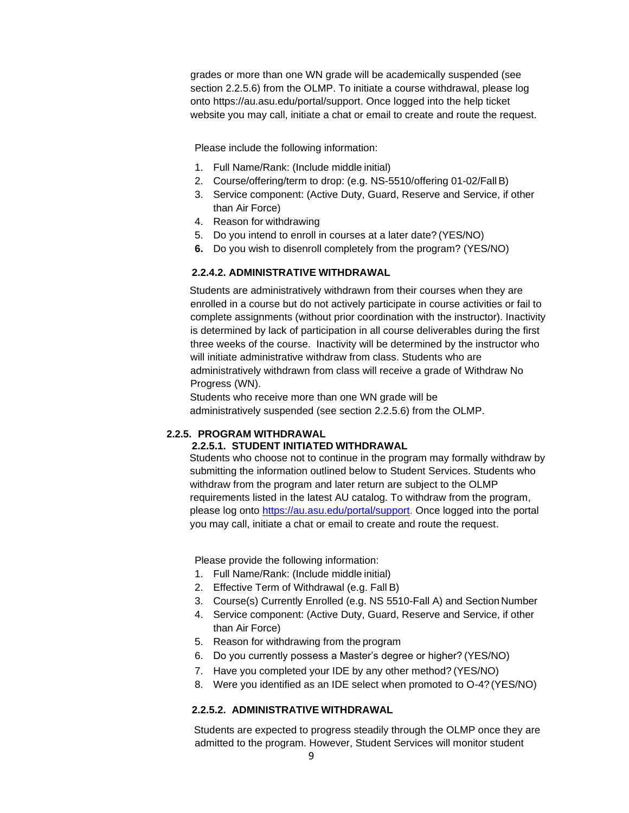grades or more than one WN grade will be academically suspended (see section 2.2.5.6) from the OLMP. To initiate a course withdrawal, please log onto [https://au.asu.edu/portal/support.](https://au.asu.edu/portal/support) Once logged into the help ticket website you may call, initiate a chat or email to create and route the request.

Please include the following information:

- 1. Full Name/Rank: (Include middle initial)
- 2. Course/offering/term to drop: (e.g. NS-5510/offering 01-02/FallB)
- 3. Service component: (Active Duty, Guard, Reserve and Service, if other than Air Force)
- 4. Reason for withdrawing
- 5. Do you intend to enroll in courses at a later date? (YES/NO)
- **6.** Do you wish to disenroll completely from the program? (YES/NO)

## **2.2.4.2. ADMINISTRATIVE WITHDRAWAL**

Students are administratively withdrawn from their courses when they are enrolled in a course but do not actively participate in course activities or fail to complete assignments (without prior coordination with the instructor). Inactivity is determined by lack of participation in all course deliverables during the first three weeks of the course. Inactivity will be determined by the instructor who will initiate administrative withdraw from class. Students who are administratively withdrawn from class will receive a grade of Withdraw No Progress (WN).

Students who receive more than one WN grade will be administratively suspended (see section 2.2.5.6) from the OLMP.

# <span id="page-8-0"></span>**2.2.5. PROGRAM WITHDRAWAL**

# **2.2.5.1. STUDENT INITIATED WITHDRAWAL**

Students who choose not to continue in the program may formally withdraw by submitting the information outlined below to Student Services. Students who withdraw from the program and later return are subject to the OLMP requirements listed in the latest AU catalog. To withdraw from the program, please log onto [https://au.asu.edu/portal/support.](https://au.asu.edu/portal/support) Once logged into the portal you may call, initiate a chat or email to create and route the request.

Please provide the following information:

- 1. Full Name/Rank: (Include middle initial)
- 2. Effective Term of Withdrawal (e.g. Fall B)
- 3. Course(s) Currently Enrolled (e.g. NS 5510-Fall A) and Section Number
- 4. Service component: (Active Duty, Guard, Reserve and Service, if other than Air Force)
- 5. Reason for withdrawing from the program
- 6. Do you currently possess a Master's degree or higher? (YES/NO)
- 7. Have you completed your IDE by any other method? (YES/NO)
- 8. Were you identified as an IDE select when promoted to O-4? (YES/NO)

#### **2.2.5.2. ADMINISTRATIVE WITHDRAWAL**

Students are expected to progress steadily through the OLMP once they are admitted to the program. However, Student Services will monitor student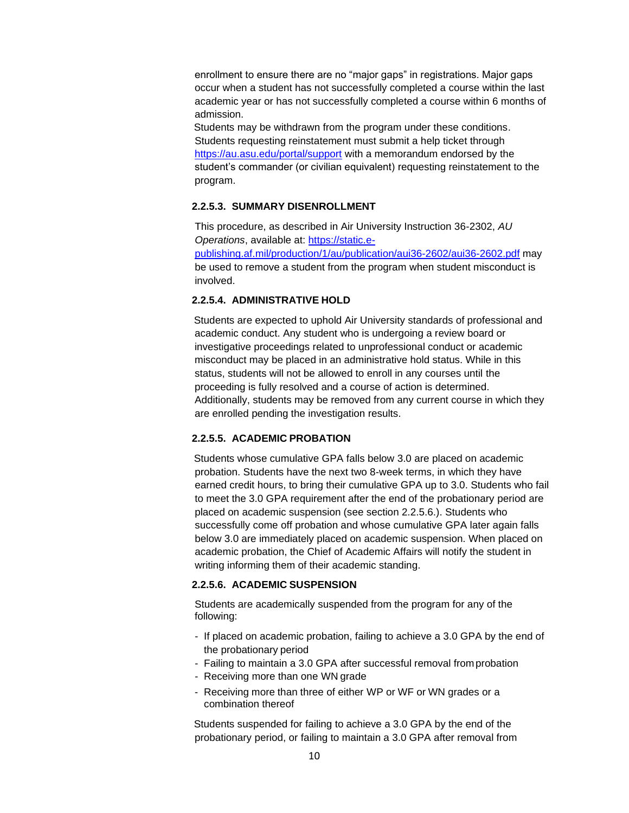enrollment to ensure there are no "major gaps" in registrations. Major gaps occur when a student has not successfully completed a course within the last academic year or has not successfully completed a course within 6 months of admission.

Students may be withdrawn from the program under these conditions. Students requesting reinstatement must submit a help ticket through <https://au.asu.edu/portal/support> with a memorandum endorsed by the student's commander (or civilian equivalent) requesting reinstatement to the program.

# **2.2.5.3. SUMMARY DISENROLLMENT**

This procedure, as described in Air University Instruction 36-2302, *AU Operations*, available at: [https://static.e](https://static.e-publishing.af.mil/production/1/au/publication/aui36-2602/aui36-2602.pdf)[publishing.af.mil/production/1/au/publication/aui36-2602/aui36-2602.pdf](https://static.e-publishing.af.mil/production/1/au/publication/aui36-2602/aui36-2602.pdf) may be used to remove a student from the program when student misconduct is involved.

# **2.2.5.4. ADMINISTRATIVE HOLD**

Students are expected to uphold Air University standards of professional and academic conduct. Any student who is undergoing a review board or investigative proceedings related to unprofessional conduct or academic misconduct may be placed in an administrative hold status. While in this status, students will not be allowed to enroll in any courses until the proceeding is fully resolved and a course of action is determined. Additionally, students may be removed from any current course in which they are enrolled pending the investigation results.

# **2.2.5.5. ACADEMIC PROBATION**

Students whose cumulative GPA falls below 3.0 are placed on academic probation. Students have the next two 8-week terms, in which they have earned credit hours, to bring their cumulative GPA up to 3.0. Students who fail to meet the 3.0 GPA requirement after the end of the probationary period are placed on academic suspension (see section 2.2.5.6.). Students who successfully come off probation and whose cumulative GPA later again falls below 3.0 are immediately placed on academic suspension. When placed on academic probation, the Chief of Academic Affairs will notify the student in writing informing them of their academic standing.

# **2.2.5.6. ACADEMIC SUSPENSION**

Students are academically suspended from the program for any of the following:

- If placed on academic probation, failing to achieve a 3.0 GPA by the end of the probationary period
- Failing to maintain a 3.0 GPA after successful removal from probation
- Receiving more than one WN grade
- Receiving more than three of either WP or WF or WN grades or a combination thereof

Students suspended for failing to achieve a 3.0 GPA by the end of the probationary period, or failing to maintain a 3.0 GPA after removal from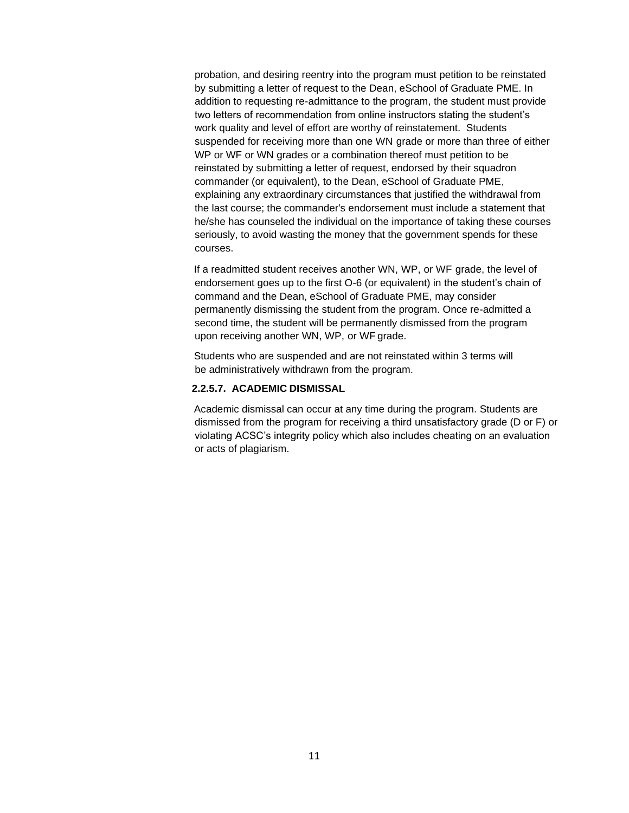probation, and desiring reentry into the program must petition to be reinstated by submitting a letter of request to the Dean, eSchool of Graduate PME. In addition to requesting re-admittance to the program, the student must provide two letters of recommendation from online instructors stating the student's work quality and level of effort are worthy of reinstatement. Students suspended for receiving more than one WN grade or more than three of either WP or WF or WN grades or a combination thereof must petition to be reinstated by submitting a letter of request, endorsed by their squadron commander (or equivalent), to the Dean, eSchool of Graduate PME, explaining any extraordinary circumstances that justified the withdrawal from the last course; the commander's endorsement must include a statement that he/she has counseled the individual on the importance of taking these courses seriously, to avoid wasting the money that the government spends for these courses.

If a readmitted student receives another WN, WP, or WF grade, the level of endorsement goes up to the first O-6 (or equivalent) in the student's chain of command and the Dean, eSchool of Graduate PME, may consider permanently dismissing the student from the program. Once re-admitted a second time, the student will be permanently dismissed from the program upon receiving another WN, WP, or WF grade.

Students who are suspended and are not reinstated within 3 terms will be administratively withdrawn from the program.

#### **2.2.5.7. ACADEMIC DISMISSAL**

Academic dismissal can occur at any time during the program. Students are dismissed from the program for receiving a third unsatisfactory grade (D or F) or violating ACSC's integrity policy which also includes cheating on an evaluation or acts of plagiarism.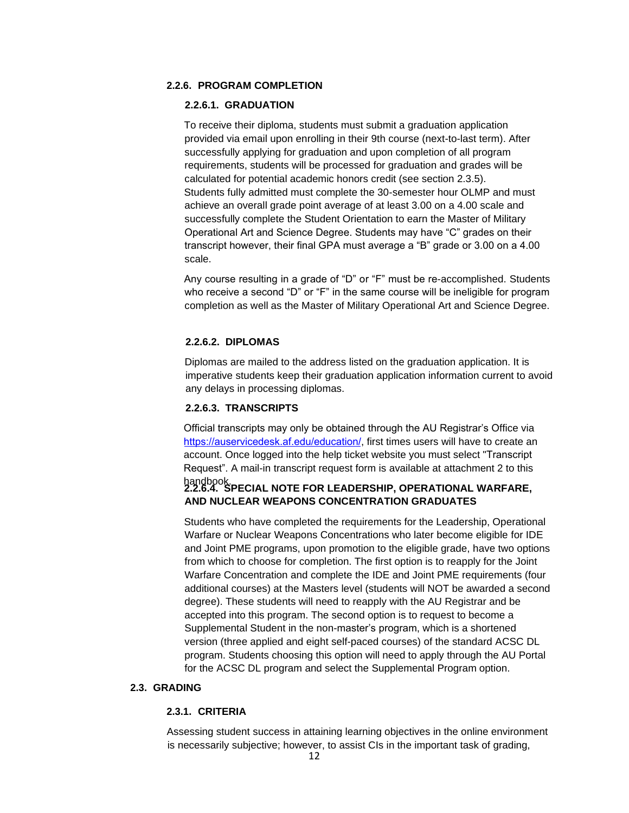# <span id="page-11-0"></span>**2.2.6. PROGRAM COMPLETION**

#### **2.2.6.1. GRADUATION**

To receive their diploma, students must submit a graduation application provided via email upon enrolling in their 9th course (next-to-last term). After successfully applying for graduation and upon completion of all program requirements, students will be processed for graduation and grades will be calculated for potential academic honors credit (see section 2.3.5). Students fully admitted must complete the 30-semester hour OLMP and must achieve an overall grade point average of at least 3.00 on a 4.00 scale and successfully complete the Student Orientation to earn the Master of Military Operational Art and Science Degree. Students may have "C" grades on their transcript however, their final GPA must average a "B" grade or 3.00 on a 4.00 scale.

Any course resulting in a grade of "D" or "F" must be re-accomplished. Students who receive a second "D" or "F" in the same course will be ineligible for program completion as well as the Master of Military Operational Art and Science Degree.

#### **2.2.6.2. DIPLOMAS**

Diplomas are mailed to the address listed on the graduation application. It is imperative students keep their graduation application information current to avoid any delays in processing diplomas.

#### **2.2.6.3. TRANSCRIPTS**

Official transcripts may only be obtained through the AU Registrar's Office via [https://auservicedesk.af.edu/e](https://auservicedesk.af.edu/)ducation/, first times users will have to create an account. Once logged into the help ticket website you must select "Transcript Request". A mail-in transcript request form is available at attachment 2 to this

# handbook. **2.2.6.4. SPECIAL NOTE FOR LEADERSHIP, OPERATIONAL WARFARE, AND NUCLEAR WEAPONS CONCENTRATION GRADUATES**

Students who have completed the requirements for the Leadership, Operational Warfare or Nuclear Weapons Concentrations who later become eligible for IDE and Joint PME programs, upon promotion to the eligible grade, have two options from which to choose for completion. The first option is to reapply for the Joint Warfare Concentration and complete the IDE and Joint PME requirements (four additional courses) at the Masters level (students will NOT be awarded a second degree). These students will need to reapply with the AU Registrar and be accepted into this program. The second option is to request to become a Supplemental Student in the non-master's program, which is a shortened version (three applied and eight self-paced courses) of the standard ACSC DL program. Students choosing this option will need to apply through the AU Portal for the ACSC DL program and select the Supplemental Program option.

#### <span id="page-11-2"></span><span id="page-11-1"></span>**2.3. GRADING**

# **2.3.1. CRITERIA**

Assessing student success in attaining learning objectives in the online environment is necessarily subjective; however, to assist CIs in the important task of grading,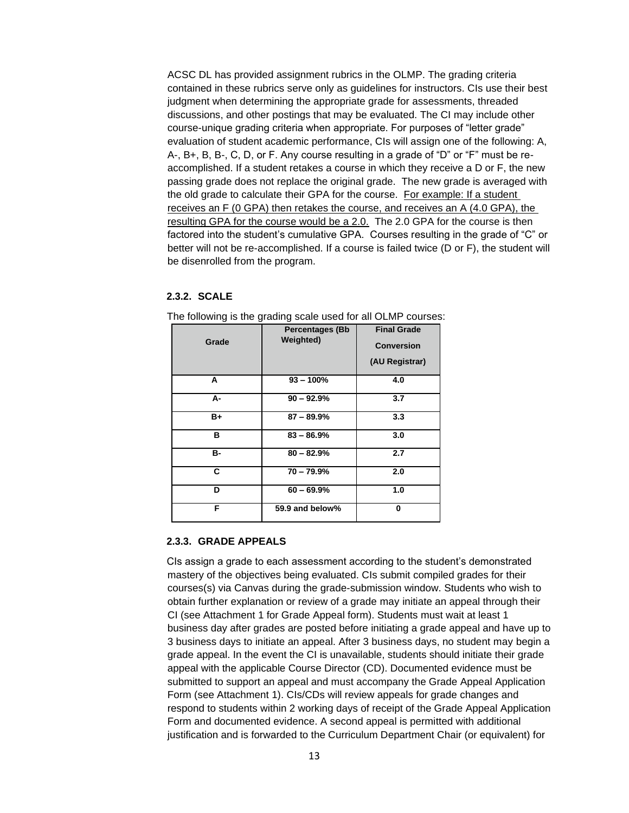ACSC DL has provided assignment rubrics in the OLMP. The grading criteria contained in these rubrics serve only as guidelines for instructors. CIs use their best judgment when determining the appropriate grade for assessments, threaded discussions, and other postings that may be evaluated. The CI may include other course-unique grading criteria when appropriate. For purposes of "letter grade" evaluation of student academic performance, CIs will assign one of the following: A, A-, B+, B, B-, C, D, or F. Any course resulting in a grade of "D" or "F" must be reaccomplished. If a student retakes a course in which they receive a D or F, the new passing grade does not replace the original grade. The new grade is averaged with the old grade to calculate their GPA for the course. For example: If a student receives an F (0 GPA) then retakes the course, and receives an A (4.0 GPA), the resulting GPA for the course would be a 2.0. The 2.0 GPA for the course is then factored into the student's cumulative GPA. Courses resulting in the grade of "C" or better will not be re-accomplished. If a course is failed twice (D or F), the student will be disenrolled from the program.

#### <span id="page-12-0"></span>**2.3.2. SCALE**

| Grade | <b>Percentages (Bb</b><br><b>Weighted)</b> | <b>Final Grade</b><br><b>Conversion</b><br>(AU Registrar) |  |
|-------|--------------------------------------------|-----------------------------------------------------------|--|
| А     | $93 - 100%$                                | 4.0                                                       |  |
| А-    | $90 - 92.9%$                               | 3.7                                                       |  |
| B+    | $87 - 89.9\%$                              | 3.3                                                       |  |
| в     | $83 - 86.9%$                               | 3.0                                                       |  |
| в-    | $80 - 82.9%$                               | 2.7                                                       |  |
| C     | $70 - 79.9%$                               | 2.0                                                       |  |
| D     | $60 - 69.9%$                               | 1.0                                                       |  |
| F     | 59.9 and below%                            | 0                                                         |  |

The following is the grading scale used for all OLMP courses:

#### <span id="page-12-1"></span>**2.3.3. GRADE APPEALS**

CIs assign a grade to each assessment according to the student's demonstrated mastery of the objectives being evaluated. CIs submit compiled grades for their courses(s) via Canvas during the grade-submission window. Students who wish to obtain further explanation or review of a grade may initiate an appeal through their CI (see Attachment 1 for Grade Appeal form). Students must wait at least 1 business day after grades are posted before initiating a grade appeal and have up to 3 business days to initiate an appeal. After 3 business days, no student may begin a grade appeal. In the event the CI is unavailable, students should initiate their grade appeal with the applicable Course Director (CD). Documented evidence must be submitted to support an appeal and must accompany the Grade Appeal Application Form (see Attachment 1). CIs/CDs will review appeals for grade changes and respond to students within 2 working days of receipt of the Grade Appeal Application Form and documented evidence. A second appeal is permitted with additional justification and is forwarded to the Curriculum Department Chair (or equivalent) for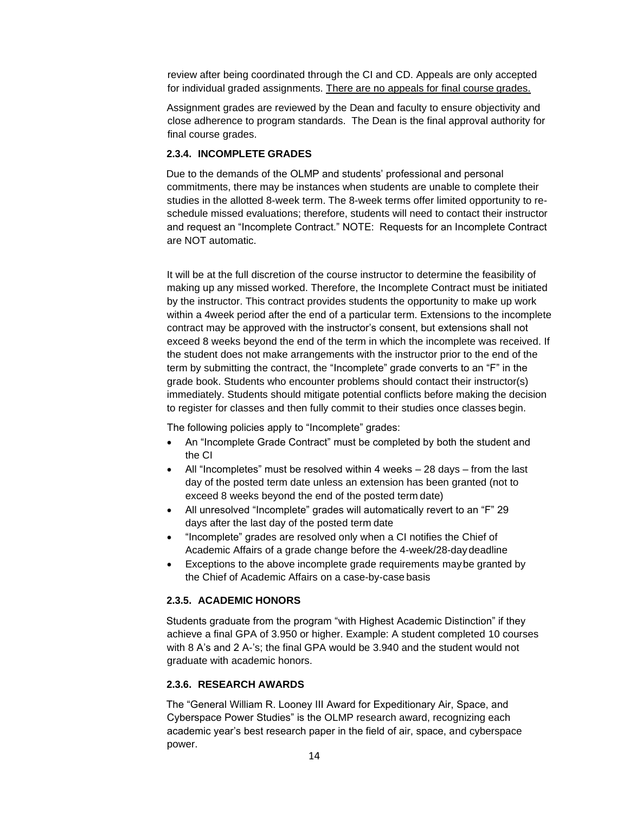review after being coordinated through the CI and CD. Appeals are only accepted for individual graded assignments. There are no appeals for final course grades.

Assignment grades are reviewed by the Dean and faculty to ensure objectivity and close adherence to program standards. The Dean is the final approval authority for final course grades.

# <span id="page-13-0"></span>**2.3.4. INCOMPLETE GRADES**

Due to the demands of the OLMP and students' professional and personal commitments, there may be instances when students are unable to complete their studies in the allotted 8-week term. The 8-week terms offer limited opportunity to reschedule missed evaluations; therefore, students will need to contact their instructor and request an "Incomplete Contract." NOTE: Requests for an Incomplete Contract are NOT automatic.

It will be at the full discretion of the course instructor to determine the feasibility of making up any missed worked. Therefore, the Incomplete Contract must be initiated by the instructor. This contract provides students the opportunity to make up work within a 4week period after the end of a particular term. Extensions to the incomplete contract may be approved with the instructor's consent, but extensions shall not exceed 8 weeks beyond the end of the term in which the incomplete was received. If the student does not make arrangements with the instructor prior to the end of the term by submitting the contract, the "Incomplete" grade converts to an "F" in the grade book. Students who encounter problems should contact their instructor(s) immediately. Students should mitigate potential conflicts before making the decision to register for classes and then fully commit to their studies once classes begin.

The following policies apply to "Incomplete" grades:

- An "Incomplete Grade Contract" must be completed by both the student and the CI
- All "Incompletes" must be resolved within 4 weeks 28 days from the last day of the posted term date unless an extension has been granted (not to exceed 8 weeks beyond the end of the posted term date)
- All unresolved "Incomplete" grades will automatically revert to an "F" 29 days after the last day of the posted term date
- "Incomplete" grades are resolved only when a CI notifies the Chief of Academic Affairs of a grade change before the 4-week/28-daydeadline
- Exceptions to the above incomplete grade requirements maybe granted by the Chief of Academic Affairs on a case-by-case basis

# <span id="page-13-1"></span>**2.3.5. ACADEMIC HONORS**

Students graduate from the program "with Highest Academic Distinction" if they achieve a final GPA of 3.950 or higher. Example: A student completed 10 courses with 8 A's and 2 A-'s; the final GPA would be 3.940 and the student would not graduate with academic honors.

#### <span id="page-13-2"></span>**2.3.6. RESEARCH AWARDS**

The "General William R. Looney III Award for Expeditionary Air, Space, and Cyberspace Power Studies" is the OLMP research award, recognizing each academic year's best research paper in the field of air, space, and cyberspace power.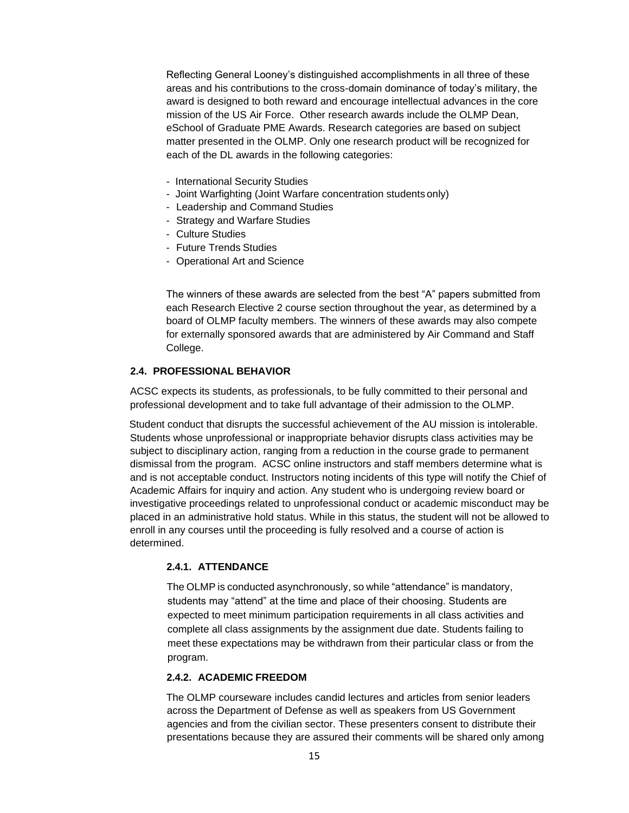Reflecting General Looney's distinguished accomplishments in all three of these areas and his contributions to the cross-domain dominance of today's military, the award is designed to both reward and encourage intellectual advances in the core mission of the US Air Force. Other research awards include the OLMP Dean, eSchool of Graduate PME Awards. Research categories are based on subject matter presented in the OLMP. Only one research product will be recognized for each of the DL awards in the following categories:

- International Security Studies
- Joint Warfighting (Joint Warfare concentration students only)
- Leadership and Command Studies
- Strategy and Warfare Studies
- Culture Studies
- Future Trends Studies
- Operational Art and Science

The winners of these awards are selected from the best "A" papers submitted from each Research Elective 2 course section throughout the year, as determined by a board of OLMP faculty members. The winners of these awards may also compete for externally sponsored awards that are administered by Air Command and Staff College.

# <span id="page-14-0"></span>**2.4. PROFESSIONAL BEHAVIOR**

ACSC expects its students, as professionals, to be fully committed to their personal and professional development and to take full advantage of their admission to the OLMP.

Student conduct that disrupts the successful achievement of the AU mission is intolerable. Students whose unprofessional or inappropriate behavior disrupts class activities may be subject to disciplinary action, ranging from a reduction in the course grade to permanent dismissal from the program. ACSC online instructors and staff members determine what is and is not acceptable conduct. Instructors noting incidents of this type will notify the Chief of Academic Affairs for inquiry and action. Any student who is undergoing review board or investigative proceedings related to unprofessional conduct or academic misconduct may be placed in an administrative hold status. While in this status, the student will not be allowed to enroll in any courses until the proceeding is fully resolved and a course of action is determined.

#### <span id="page-14-1"></span>**2.4.1. ATTENDANCE**

The OLMP is conducted asynchronously, so while "attendance" is mandatory, students may "attend" at the time and place of their choosing. Students are expected to meet minimum participation requirements in all class activities and complete all class assignments by the assignment due date. Students failing to meet these expectations may be withdrawn from their particular class or from the program.

# <span id="page-14-2"></span>**2.4.2. ACADEMIC FREEDOM**

The OLMP courseware includes candid lectures and articles from senior leaders across the Department of Defense as well as speakers from US Government agencies and from the civilian sector. These presenters consent to distribute their presentations because they are assured their comments will be shared only among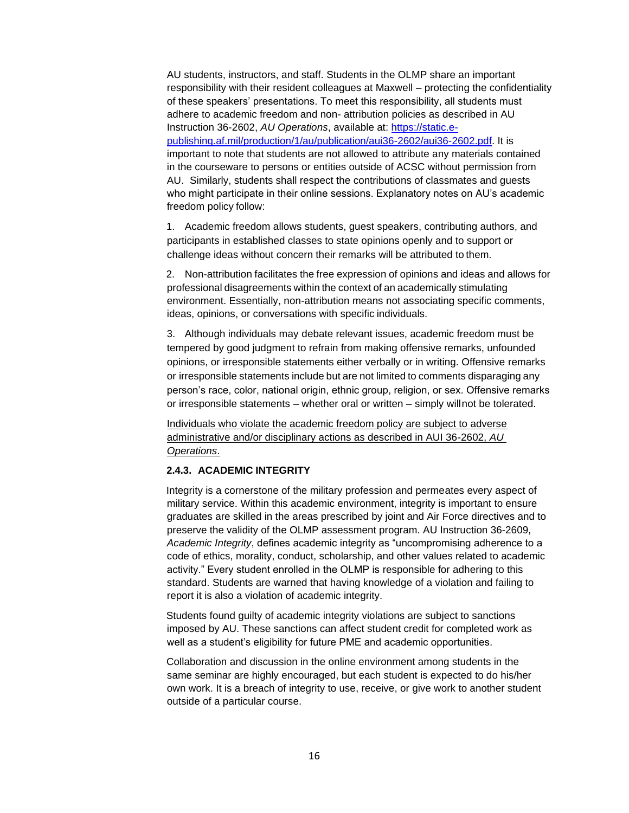AU students, instructors, and staff. Students in the OLMP share an important responsibility with their resident colleagues at Maxwell – protecting the confidentiality of these speakers' presentations. To meet this responsibility, all students must adhere to academic freedom and non- attribution policies as described in AU Instruction 36-2602, *AU Operations*, available at: [https://static.e](https://static.e-publishing.af.mil/production/1/au/publication/aui36-2602/aui36-2602.pdf)[publishing.af.mil/production/1/au/publication/aui36-2602/aui36-2602.pdf.](https://static.e-publishing.af.mil/production/1/au/publication/aui36-2602/aui36-2602.pdf) It is important to note that students are not allowed to attribute any materials contained in the courseware to persons or entities outside of ACSC without permission from AU. Similarly, students shall respect the contributions of classmates and guests who might participate in their online sessions. Explanatory notes on AU's academic freedom policy follow:

1. Academic freedom allows students, guest speakers, contributing authors, and participants in established classes to state opinions openly and to support or challenge ideas without concern their remarks will be attributed to them.

2. Non-attribution facilitates the free expression of opinions and ideas and allows for professional disagreements within the context of an academically stimulating environment. Essentially, non-attribution means not associating specific comments, ideas, opinions, or conversations with specific individuals.

3. Although individuals may debate relevant issues, academic freedom must be tempered by good judgment to refrain from making offensive remarks, unfounded opinions, or irresponsible statements either verbally or in writing. Offensive remarks or irresponsible statements include but are not limited to comments disparaging any person's race, color, national origin, ethnic group, religion, or sex. Offensive remarks or irresponsible statements – whether oral or written – simply willnot be tolerated.

Individuals who violate the academic freedom policy are subject to adverse administrative and/or disciplinary actions as described in AUI 36-2602, *AU Operations*.

#### <span id="page-15-0"></span>**2.4.3. ACADEMIC INTEGRITY**

Integrity is a cornerstone of the military profession and permeates every aspect of military service. Within this academic environment, integrity is important to ensure graduates are skilled in the areas prescribed by joint and Air Force directives and to preserve the validity of the OLMP assessment program. AU Instruction 36-2609, *Academic Integrity*, defines academic integrity as "uncompromising adherence to a code of ethics, morality, conduct, scholarship, and other values related to academic activity." Every student enrolled in the OLMP is responsible for adhering to this standard. Students are warned that having knowledge of a violation and failing to report it is also a violation of academic integrity.

Students found guilty of academic integrity violations are subject to sanctions imposed by AU. These sanctions can affect student credit for completed work as well as a student's eligibility for future PME and academic opportunities.

Collaboration and discussion in the online environment among students in the same seminar are highly encouraged, but each student is expected to do his/her own work. It is a breach of integrity to use, receive, or give work to another student outside of a particular course.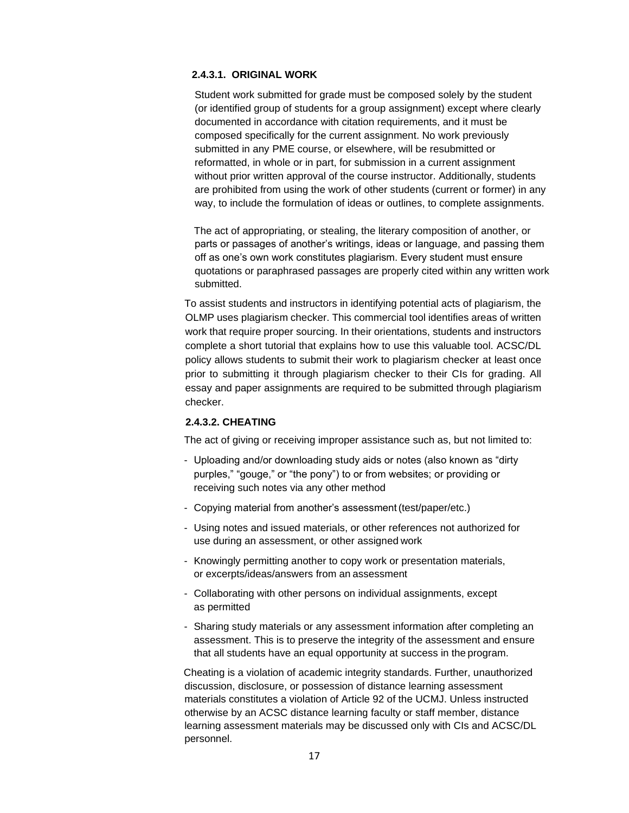# **2.4.3.1. ORIGINAL WORK**

Student work submitted for grade must be composed solely by the student (or identified group of students for a group assignment) except where clearly documented in accordance with citation requirements, and it must be composed specifically for the current assignment. No work previously submitted in any PME course, or elsewhere, will be resubmitted or reformatted, in whole or in part, for submission in a current assignment without prior written approval of the course instructor. Additionally, students are prohibited from using the work of other students (current or former) in any way, to include the formulation of ideas or outlines, to complete assignments.

The act of appropriating, or stealing, the literary composition of another, or parts or passages of another's writings, ideas or language, and passing them off as one's own work constitutes plagiarism. Every student must ensure quotations or paraphrased passages are properly cited within any written work submitted.

To assist students and instructors in identifying potential acts of plagiarism, the OLMP uses plagiarism checker. This commercial tool identifies areas of written work that require proper sourcing. In their orientations, students and instructors complete a short tutorial that explains how to use this valuable tool. ACSC/DL policy allows students to submit their work to plagiarism checker at least once prior to submitting it through plagiarism checker to their CIs for grading. All essay and paper assignments are required to be submitted through plagiarism checker.

#### **2.4.3.2. CHEATING**

The act of giving or receiving improper assistance such as, but not limited to:

- Uploading and/or downloading study aids or notes (also known as "dirty purples," "gouge," or "the pony") to or from websites; or providing or receiving such notes via any other method
- Copying material from another's assessment (test/paper/etc.)
- Using notes and issued materials, or other references not authorized for use during an assessment, or other assigned work
- Knowingly permitting another to copy work or presentation materials, or excerpts/ideas/answers from an assessment
- Collaborating with other persons on individual assignments, except as permitted
- Sharing study materials or any assessment information after completing an assessment. This is to preserve the integrity of the assessment and ensure that all students have an equal opportunity at success in the program.

Cheating is a violation of academic integrity standards. Further, unauthorized discussion, disclosure, or possession of distance learning assessment materials constitutes a violation of Article 92 of the UCMJ. Unless instructed otherwise by an ACSC distance learning faculty or staff member, distance learning assessment materials may be discussed only with CIs and ACSC/DL personnel.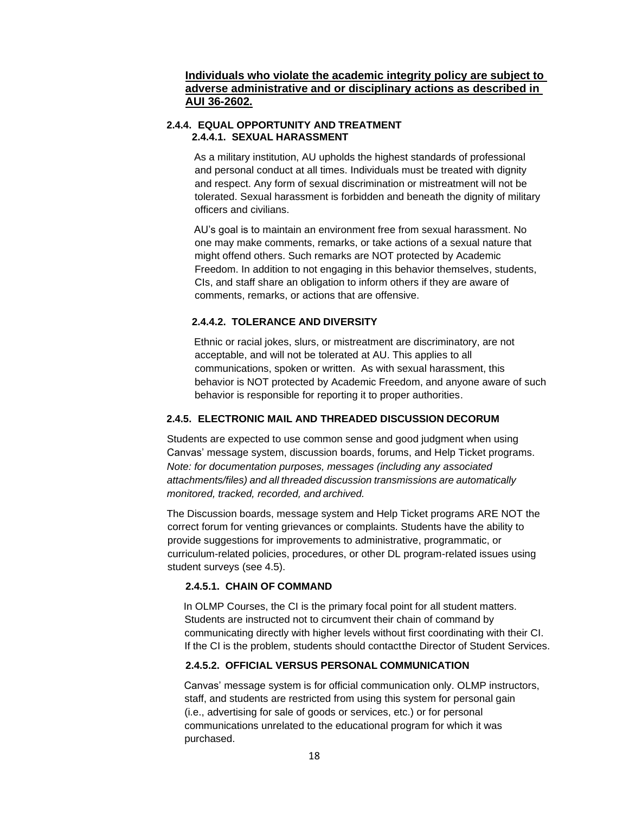# **Individuals who violate the academic integrity policy are subject to adverse administrative and or disciplinary actions as described in AUI 36-2602.**

## <span id="page-17-0"></span>**2.4.4. EQUAL OPPORTUNITY AND TREATMENT 2.4.4.1. SEXUAL HARASSMENT**

As a military institution, AU upholds the highest standards of professional and personal conduct at all times. Individuals must be treated with dignity and respect. Any form of sexual discrimination or mistreatment will not be tolerated. Sexual harassment is forbidden and beneath the dignity of military officers and civilians.

AU's goal is to maintain an environment free from sexual harassment. No one may make comments, remarks, or take actions of a sexual nature that might offend others. Such remarks are NOT protected by Academic Freedom. In addition to not engaging in this behavior themselves, students, CIs, and staff share an obligation to inform others if they are aware of comments, remarks, or actions that are offensive.

# **2.4.4.2. TOLERANCE AND DIVERSITY**

Ethnic or racial jokes, slurs, or mistreatment are discriminatory, are not acceptable, and will not be tolerated at AU. This applies to all communications, spoken or written. As with sexual harassment, this behavior is NOT protected by Academic Freedom, and anyone aware of such behavior is responsible for reporting it to proper authorities.

## <span id="page-17-1"></span>**2.4.5. ELECTRONIC MAIL AND THREADED DISCUSSION DECORUM**

Students are expected to use common sense and good judgment when using Canvas' message system, discussion boards, forums, and Help Ticket programs. *Note: for documentation purposes, messages (including any associated attachments/files) and all threaded discussion transmissions are automatically monitored, tracked, recorded, and archived.*

The Discussion boards, message system and Help Ticket programs ARE NOT the correct forum for venting grievances or complaints. Students have the ability to provide suggestions for improvements to administrative, programmatic, or curriculum-related policies, procedures, or other DL program-related issues using student surveys (see 4.5).

#### **2.4.5.1. CHAIN OF COMMAND**

In OLMP Courses, the CI is the primary focal point for all student matters. Students are instructed not to circumvent their chain of command by communicating directly with higher levels without first coordinating with their CI. If the CI is the problem, students should contactthe Director of Student Services.

#### **2.4.5.2. OFFICIAL VERSUS PERSONAL COMMUNICATION**

Canvas' message system is for official communication only. OLMP instructors, staff, and students are restricted from using this system for personal gain (i.e., advertising for sale of goods or services, etc.) or for personal communications unrelated to the educational program for which it was purchased.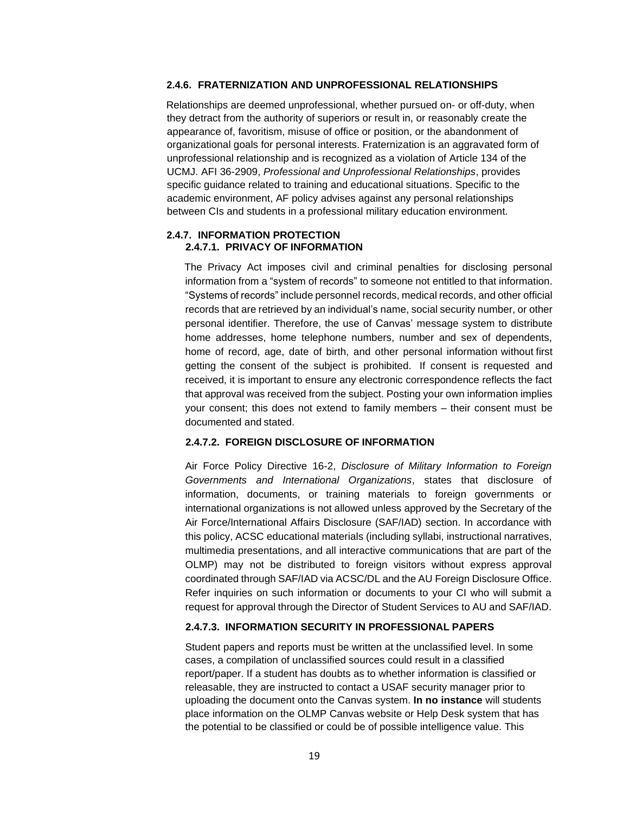# <span id="page-18-0"></span>**2.4.6. FRATERNIZATION AND UNPROFESSIONAL RELATIONSHIPS**

Relationships are deemed unprofessional, whether pursued on- or off-duty, when they detract from the authority of superiors or result in, or reasonably create the appearance of, favoritism, misuse of office or position, or the abandonment of organizational goals for personal interests. Fraternization is an aggravated form of unprofessional relationship and is recognized as a violation of Article 134 of the UCMJ. AFI 36-2909, *Professional and Unprofessional Relationships*, provides specific guidance related to training and educational situations. Specific to the academic environment, AF policy advises against any personal relationships between CIs and students in a professional military education environment.

#### <span id="page-18-1"></span>**2.4.7. INFORMATION PROTECTION 2.4.7.1. PRIVACY OF INFORMATION**

The Privacy Act imposes civil and criminal penalties for disclosing personal information from a "system of records" to someone not entitled to that information. "Systems of records" include personnel records, medical records, and other official records that are retrieved by an individual's name, social security number, or other personal identifier. Therefore, the use of Canvas' message system to distribute home addresses, home telephone numbers, number and sex of dependents, home of record, age, date of birth, and other personal information without first getting the consent of the subject is prohibited. If consent is requested and received, it is important to ensure any electronic correspondence reflects the fact that approval was received from the subject. Posting your own information implies your consent; this does not extend to family members – their consent must be documented and stated.

#### **2.4.7.2. FOREIGN DISCLOSURE OF INFORMATION**

Air Force Policy Directive 16-2, *Disclosure of Military Information to Foreign Governments and International Organizations*, states that disclosure of information, documents, or training materials to foreign governments or international organizations is not allowed unless approved by the Secretary of the Air Force/International Affairs Disclosure (SAF/IAD) section. In accordance with this policy, ACSC educational materials (including syllabi, instructional narratives, multimedia presentations, and all interactive communications that are part of the OLMP) may not be distributed to foreign visitors without express approval coordinated through SAF/IAD via ACSC/DL and the AU Foreign Disclosure Office. Refer inquiries on such information or documents to your CI who will submit a request for approval through the Director of Student Services to AU and SAF/IAD.

# **2.4.7.3. INFORMATION SECURITY IN PROFESSIONAL PAPERS**

Student papers and reports must be written at the unclassified level. In some cases, a compilation of unclassified sources could result in a classified report/paper. If a student has doubts as to whether information is classified or releasable, they are instructed to contact a USAF security manager prior to uploading the document onto the Canvas system. **In no instance** will students place information on the OLMP Canvas website or Help Desk system that has the potential to be classified or could be of possible intelligence value. This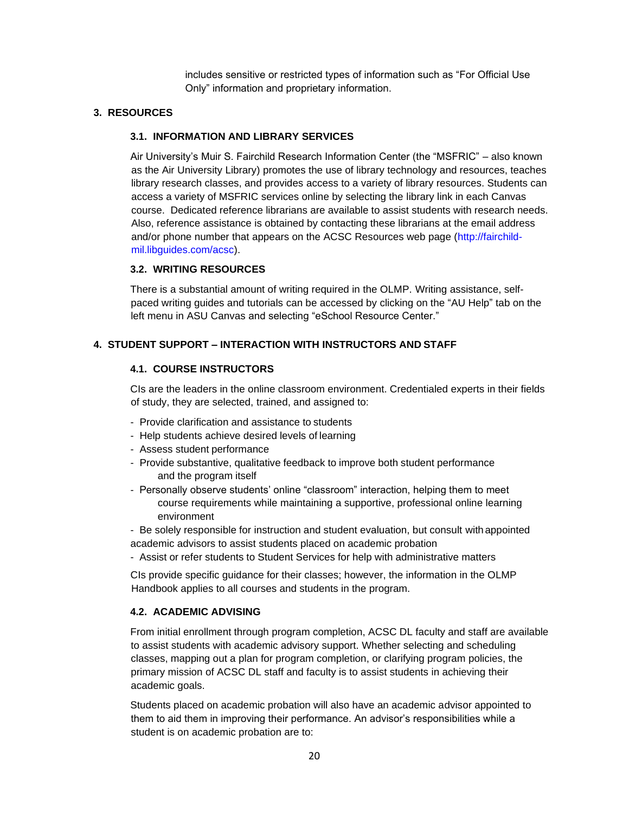includes sensitive or restricted types of information such as "For Official Use Only" information and proprietary information.

# <span id="page-19-1"></span><span id="page-19-0"></span>**3. RESOURCES**

# **3.1. INFORMATION AND LIBRARY SERVICES**

Air University's Muir S. Fairchild Research Information Center (the "MSFRIC" – also known as the Air University Library) promotes the use of library technology and resources, teaches library research classes, and provides access to a variety of library resources. Students can access a variety of MSFRIC services online by selecting the library link in each Canvas course. Dedicated reference librarians are available to assist students with research needs. Also, reference assistance is obtained by contacting these librarians at the email address and/or phone number that appears on the ACSC Resources web page [\(http://fairchild](http://fairchild-mil.libguides.com/acsc)[mil.libguides.com/acsc\).](http://fairchild-mil.libguides.com/acsc)

#### <span id="page-19-2"></span>**3.2. WRITING RESOURCES**

There is a substantial amount of writing required in the OLMP. Writing assistance, selfpaced writing guides and tutorials can be accessed by clicking on the "AU Help" tab on the left menu in ASU Canvas and selecting "eSchool Resource Center."

# <span id="page-19-4"></span><span id="page-19-3"></span>**4. STUDENT SUPPORT – INTERACTION WITH INSTRUCTORS AND STAFF**

#### **4.1. COURSE INSTRUCTORS**

CIs are the leaders in the online classroom environment. Credentialed experts in their fields of study, they are selected, trained, and assigned to:

- Provide clarification and assistance to students
- Help students achieve desired levels of learning
- Assess student performance
- Provide substantive, qualitative feedback to improve both student performance and the program itself
- Personally observe students' online "classroom" interaction, helping them to meet course requirements while maintaining a supportive, professional online learning environment
- Be solely responsible for instruction and student evaluation, but consult withappointed academic advisors to assist students placed on academic probation
- Assist or refer students to Student Services for help with administrative matters

CIs provide specific guidance for their classes; however, the information in the OLMP Handbook applies to all courses and students in the program.

# <span id="page-19-5"></span>**4.2. ACADEMIC ADVISING**

From initial enrollment through program completion, ACSC DL faculty and staff are available to assist students with academic advisory support. Whether selecting and scheduling classes, mapping out a plan for program completion, or clarifying program policies, the primary mission of ACSC DL staff and faculty is to assist students in achieving their academic goals.

Students placed on academic probation will also have an academic advisor appointed to them to aid them in improving their performance. An advisor's responsibilities while a student is on academic probation are to: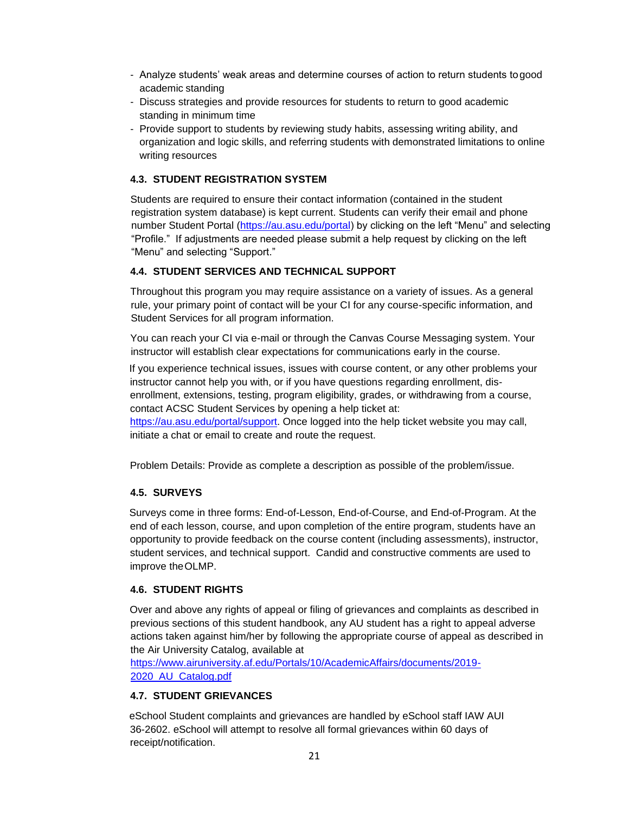- Analyze students' weak areas and determine courses of action to return students togood academic standing
- Discuss strategies and provide resources for students to return to good academic standing in minimum time
- Provide support to students by reviewing study habits, assessing writing ability, and organization and logic skills, and referring students with demonstrated limitations to online writing resources

# <span id="page-20-0"></span>**4.3. STUDENT REGISTRATION SYSTEM**

Students are required to ensure their contact information (contained in the student registration system database) is kept current. Students can verify their email and phone number Student Portal [\(https://au.asu.edu/portal\)](https://au.asu.edu/portal) by clicking on the left "Menu" and selecting "Profile." If adjustments are needed please submit a help request by clicking on the left "Menu" and selecting "Support."

# <span id="page-20-1"></span>**4.4. STUDENT SERVICES AND TECHNICAL SUPPORT**

Throughout this program you may require assistance on a variety of issues. As a general rule, your primary point of contact will be your CI for any course-specific information, and Student Services for all program information.

You can reach your CI via e-mail or through the Canvas Course Messaging system. Your instructor will establish clear expectations for communications early in the course.

If you experience technical issues, issues with course content, or any other problems your instructor cannot help you with, or if you have questions regarding enrollment, disenrollment, extensions, testing, program eligibility, grades, or withdrawing from a course, contact ACSC Student Services by opening a help ticket at:

[https://au.asu.edu/portal/support.](https://au.asu.edu/portal/support) Once logged into the help ticket website you may call, initiate a chat or email to create and route the request.

Problem Details: Provide as complete a description as possible of the problem/issue.

# <span id="page-20-2"></span>**4.5. SURVEYS**

Surveys come in three forms: End-of-Lesson, End-of-Course, and End-of-Program. At the end of each lesson, course, and upon completion of the entire program, students have an opportunity to provide feedback on the course content (including assessments), instructor, student services, and technical support. Candid and constructive comments are used to improve theOLMP.

#### <span id="page-20-3"></span>**4.6. STUDENT RIGHTS**

Over and above any rights of appeal or filing of grievances and complaints as described in previous sections of this student handbook, any AU student has a right to appeal adverse actions taken against him/her by following the appropriate course of appeal as described in the Air University Catalog, available at

[https://www.airuniversity.af.edu/Portals/10/AcademicAffairs/documents/2019-](https://www.airuniversity.af.edu/Portals/10/AcademicAffairs/documents/2019-2020_AU_Catalog.pdf) [2020\\_AU\\_Catalog.pdf](https://www.airuniversity.af.edu/Portals/10/AcademicAffairs/documents/2019-2020_AU_Catalog.pdf)

# <span id="page-20-4"></span>**4.7. STUDENT GRIEVANCES**

eSchool Student complaints and grievances are handled by eSchool staff IAW AUI 36-2602. eSchool will attempt to resolve all formal grievances within 60 days of receipt/notification.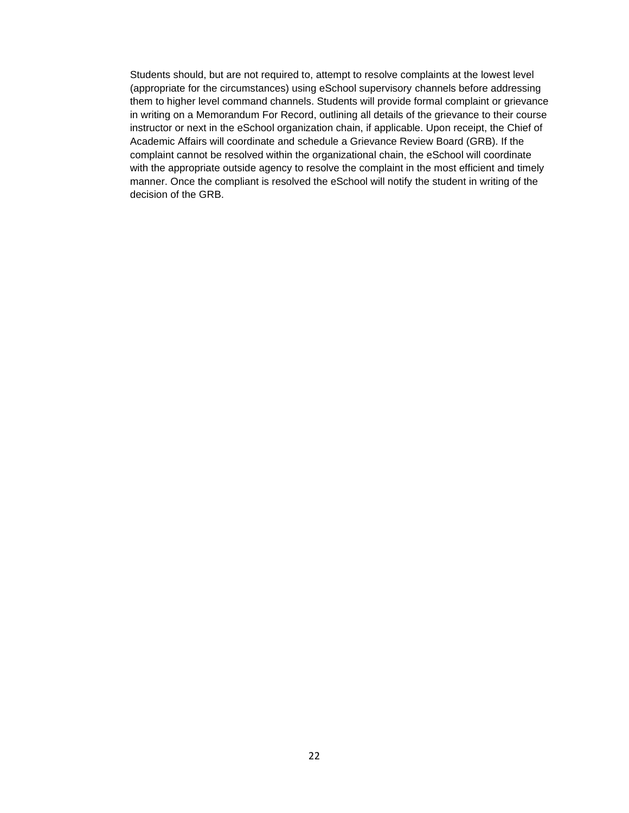Students should, but are not required to, attempt to resolve complaints at the lowest level (appropriate for the circumstances) using eSchool supervisory channels before addressing them to higher level command channels. Students will provide formal complaint or grievance in writing on a Memorandum For Record, outlining all details of the grievance to their course instructor or next in the eSchool organization chain, if applicable. Upon receipt, the Chief of Academic Affairs will coordinate and schedule a Grievance Review Board (GRB). If the complaint cannot be resolved within the organizational chain, the eSchool will coordinate with the appropriate outside agency to resolve the complaint in the most efficient and timely manner. Once the compliant is resolved the eSchool will notify the student in writing of the decision of the GRB.